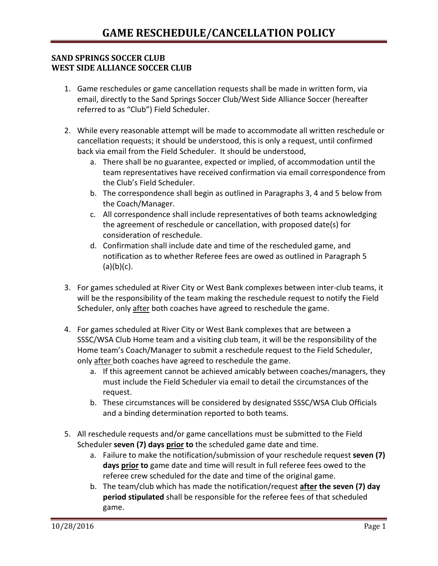## **SAND SPRINGS SOCCER CLUB WEST SIDE ALLIANCE SOCCER CLUB**

- 1. Game reschedules or game cancellation requests shall be made in written form, via email, directly to the Sand Springs Soccer Club/West Side Alliance Soccer (hereafter referred to as "Club") Field Scheduler.
- 2. While every reasonable attempt will be made to accommodate all written reschedule or cancellation requests; it should be understood, this is only a request, until confirmed back via email from the Field Scheduler. It should be understood,
	- a. There shall be no guarantee, expected or implied, of accommodation until the team representatives have received confirmation via email correspondence from the Club's Field Scheduler.
	- b. The correspondence shall begin as outlined in Paragraphs 3, 4 and 5 below from the Coach/Manager.
	- c. All correspondence shall include representatives of both teams acknowledging the agreement of reschedule or cancellation, with proposed date(s) for consideration of reschedule.
	- d. Confirmation shall include date and time of the rescheduled game, and notification as to whether Referee fees are owed as outlined in Paragraph 5  $(a)(b)(c)$ .
- 3. For games scheduled at River City or West Bank complexes between inter-club teams, it will be the responsibility of the team making the reschedule request to notify the Field Scheduler, only after both coaches have agreed to reschedule the game.
- 4. For games scheduled at River City or West Bank complexes that are between a SSSC/WSA Club Home team and a visiting club team, it will be the responsibility of the Home team's Coach/Manager to submit a reschedule request to the Field Scheduler, only after both coaches have agreed to reschedule the game.
	- a. If this agreement cannot be achieved amicably between coaches/managers, they must include the Field Scheduler via email to detail the circumstances of the request.
	- b. These circumstances will be considered by designated SSSC/WSA Club Officials and a binding determination reported to both teams.
- 5. All reschedule requests and/or game cancellations must be submitted to the Field Scheduler **seven (7) days prior to** the scheduled game date and time.
	- a. Failure to make the notification/submission of your reschedule request **seven (7) days prior to** game date and time will result in full referee fees owed to the referee crew scheduled for the date and time of the original game.
	- b. The team/club which has made the notification/request **after the seven (7) day period stipulated** shall be responsible for the referee fees of that scheduled game.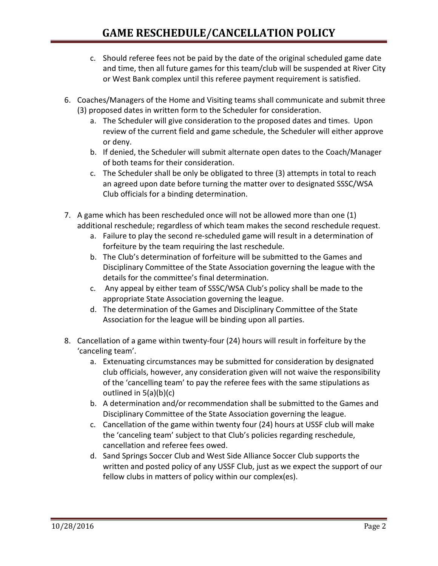- c. Should referee fees not be paid by the date of the original scheduled game date and time, then all future games for this team/club will be suspended at River City or West Bank complex until this referee payment requirement is satisfied.
- 6. Coaches/Managers of the Home and Visiting teams shall communicate and submit three (3) proposed dates in written form to the Scheduler for consideration.
	- a. The Scheduler will give consideration to the proposed dates and times. Upon review of the current field and game schedule, the Scheduler will either approve or deny.
	- b. If denied, the Scheduler will submit alternate open dates to the Coach/Manager of both teams for their consideration.
	- c. The Scheduler shall be only be obligated to three (3) attempts in total to reach an agreed upon date before turning the matter over to designated SSSC/WSA Club officials for a binding determination.
- 7. A game which has been rescheduled once will not be allowed more than one (1) additional reschedule; regardless of which team makes the second reschedule request.
	- a. Failure to play the second re-scheduled game will result in a determination of forfeiture by the team requiring the last reschedule.
	- b. The Club's determination of forfeiture will be submitted to the Games and Disciplinary Committee of the State Association governing the league with the details for the committee's final determination.
	- c. Any appeal by either team of SSSC/WSA Club's policy shall be made to the appropriate State Association governing the league.
	- d. The determination of the Games and Disciplinary Committee of the State Association for the league will be binding upon all parties.
- 8. Cancellation of a game within twenty-four (24) hours will result in forfeiture by the 'canceling team'.
	- a. Extenuating circumstances may be submitted for consideration by designated club officials, however, any consideration given will not waive the responsibility of the 'cancelling team' to pay the referee fees with the same stipulations as outlined in 5(a)(b)(c)
	- b. A determination and/or recommendation shall be submitted to the Games and Disciplinary Committee of the State Association governing the league.
	- c. Cancellation of the game within twenty four (24) hours at USSF club will make the 'canceling team' subject to that Club's policies regarding reschedule, cancellation and referee fees owed.
	- d. Sand Springs Soccer Club and West Side Alliance Soccer Club supports the written and posted policy of any USSF Club, just as we expect the support of our fellow clubs in matters of policy within our complex(es).